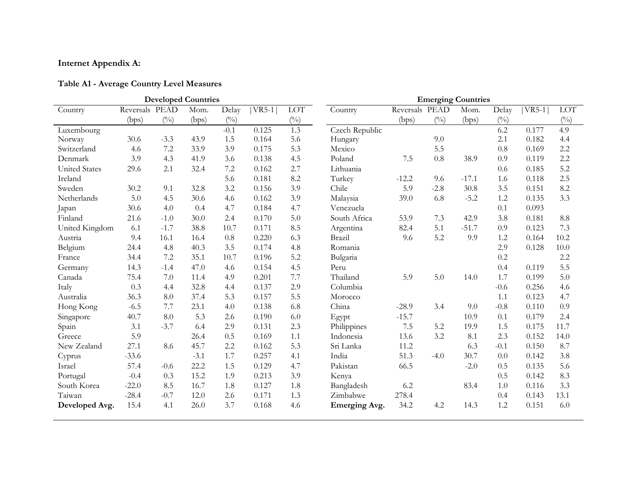## **Internet Appendix A:**

## **Table A1 - Average Country Level Measures**

|                      |                |              | <b>Developed Countries</b> |               |         |                |                | <b>Emerging Countries</b> |              |         |               |         |              |
|----------------------|----------------|--------------|----------------------------|---------------|---------|----------------|----------------|---------------------------|--------------|---------|---------------|---------|--------------|
| Country              | Reversals PEAD |              | Mom.                       | Delay         | $VR5-1$ | $\rm{LOT}$     | Country        | Reversals PEAD            |              | Mom.    | Delay         | $VR5-1$ | $\rm{LOT}$   |
|                      | (bps)          | $(^{0}_{0})$ | (bps)                      | $(^{0}/_{0})$ |         | $\binom{0}{0}$ |                | (bps)                     | $(^{0}_{0})$ | (bps)   | $(^{0}/_{0})$ |         | $(^{0}_{0})$ |
| Luxembourg           |                |              |                            | $-0.1$        | 0.125   | 1.3            | Czech Republic |                           |              |         | 6.2           | 0.177   | 4.9          |
| Norway               | 30.6           | $-3.3$       | 43.9                       | 1.5           | 0.164   | 5.6            | Hungary        |                           | 9.0          |         | 2.1           | 0.182   | 4.4          |
| Switzerland          | 4.6            | 7.2          | 33.9                       | 3.9           | 0.175   | 5.3            | Mexico         |                           | 5.5          |         | 0.8           | 0.169   | 2.2          |
| Denmark              | 3.9            | 4.3          | 41.9                       | 3.6           | 0.138   | 4.5            | Poland         | 7.5                       | 0.8          | 38.9    | 0.9           | 0.119   | 2.2          |
| <b>United States</b> | 29.6           | 2.1          | 32.4                       | 7.2           | 0.162   | 2.7            | Lithuania      |                           |              |         | 0.6           | 0.185   | 5.2          |
| Ireland              |                |              |                            | 5.6           | 0.181   | 8.2            | Turkey         | $-12.2$                   | 9.6          | $-17.1$ | 1.6           | 0.118   | 2.5          |
| Sweden               | 30.2           | 9.1          | 32.8                       | 3.2           | 0.156   | 3.9            | Chile          | 5.9                       | $-2.8$       | 30.8    | 3.5           | 0.151   | 8.2          |
| Netherlands          | 5.0            | 4.5          | 30.6                       | 4.6           | 0.162   | 3.9            | Malaysia       | 39.0                      | 6.8          | $-5.2$  | 1.2           | 0.135   | 3.3          |
| Japan                | 30.6           | 4.0          | 0.4                        | 4.7           | 0.184   | 4.7            | Venezuela      |                           |              |         | 0.1           | 0.093   |              |
| Finland              | 21.6           | $-1.0$       | 30.0                       | 2.4           | 0.170   | 5.0            | South Africa   | 53.9                      | 7.3          | 42.9    | 3.8           | 0.181   | 8.8          |
| United Kingdom       | 6.1            | $-1.7$       | 38.8                       | 10.7          | 0.171   | 8.5            | Argentina      | 82.4                      | 5.1          | $-51.7$ | 0.9           | 0.123   | 7.3          |
| Austria              | 9.4            | 16.1         | 16.4                       | 0.8           | 0.220   | 6.3            | Brazil         | 9.6                       | 5.2          | 9.9     | 1.2           | 0.164   | 10.2         |
| Belgium              | 24.4           | 4.8          | 40.3                       | 3.5           | 0.174   | 4.8            | Romania        |                           |              |         | 2.9           | 0.128   | 10.0         |
| France               | 34.4           | 7.2          | 35.1                       | 10.7          | 0.196   | 5.2            | Bulgaria       |                           |              |         | 0.2           |         | 2.2          |
| Germany              | 14.3           | $-1.4$       | 47.0                       | 4.6           | 0.154   | 4.5            | Peru           |                           |              |         | 0.4           | 0.119   | 5.5          |
| Canada               | 75.4           | 7.0          | 11.4                       | 4.9           | 0.201   | 7.7            | Thailand       | 5.9                       | 5.0          | 14.0    | 1.7           | 0.199   | 5.0          |
| Italy                | 0.3            | 4.4          | 32.8                       | 4.4           | 0.137   | 2.9            | Columbia       |                           |              |         | $-0.6$        | 0.256   | 4.6          |
| Australia            | 36.3           | 8.0          | 37.4                       | 5.3           | 0.157   | 5.5            | Morocco        |                           |              |         | 1.1           | 0.123   | 4.7          |
| Hong Kong            | $-6.5$         | 7.7          | 23.1                       | 4.0           | 0.138   | 6.8            | China          | $-28.9$                   | 3.4          | 9.0     | $-0.8$        | 0.110   | 0.9          |
| Singapore            | 40.7           | 8.0          | 5.3                        | 2.6           | 0.190   | 6.0            | Egypt          | $-15.7$                   |              | 10.9    | 0.1           | 0.179   | 2.4          |
| Spain                | 3.1            | $-3.7$       | 6.4                        | 2.9           | 0.131   | 2.3            | Philippines    | 7.5                       | 5.2          | 19.9    | 1.5           | 0.175   | 11.7         |
| Greece               | 5.9            |              | 26.4                       | 0.5           | 0.169   | 1.1            | Indonesia      | 13.6                      | 3.2          | 8.1     | 2.3           | 0.152   | 14.0         |
| New Zealand          | 27.1           | 8.6          | 45.7                       | 2.2           | 0.162   | 5.3            | Sri Lanka      | 11.2                      |              | 6.3     | $-0.1$        | 0.150   | 8.7          |
| Cyprus               | $-33.6$        |              | $-3.1$                     | 1.7           | 0.257   | 4.1            | India          | 51.3                      | $-4.0$       | 30.7    | 0.0           | 0.142   | 3.8          |
| Israel               | 57.4           | $-0.6$       | 22.2                       | 1.5           | 0.129   | 4.7            | Pakistan       | 66.5                      |              | $-2.0$  | 0.5           | 0.135   | 5.6          |
| Portugal             | $-0.4$         | 0.3          | 15.2                       | 1.9           | 0.213   | 3.9            | Kenya          |                           |              |         | 0.5           | 0.142   | 8.3          |
| South Korea          | $-22.0$        | 8.5          | 16.7                       | 1.8           | 0.127   | 1.8            | Bangladesh     | 6.2                       |              | 83.4    | 1.0           | 0.116   | 3.3          |
| Taiwan               | $-28.4$        | $-0.7$       | 12.0                       | 2.6           | 0.171   | 1.3            | Zimbabwe       | 278.4                     |              |         | 0.4           | 0.143   | 13.1         |
| Developed Avg.       | 15.4           | 4.1          | 26.0                       | 3.7           | 0.168   | 4.6            | Emerging Avg.  | 34.2                      | 4.2          | 14.3    | 1.2           | 0.151   | 6.0          |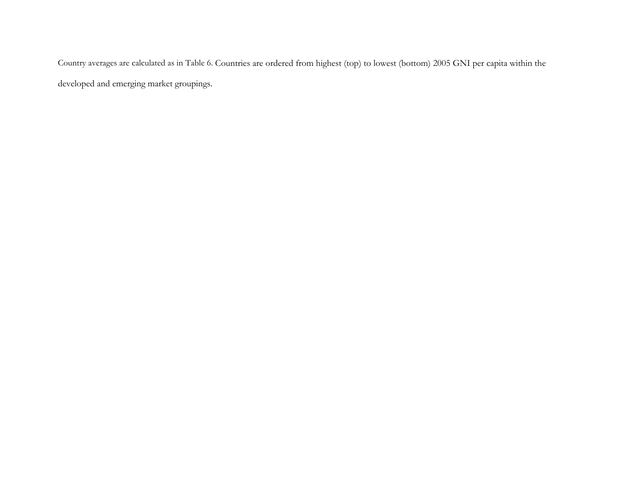Country averages are calculated as in Table 6. Countries are ordered from highest (top) to lowest (bottom) 2005 GNI per capita within the developed and emerging market groupings.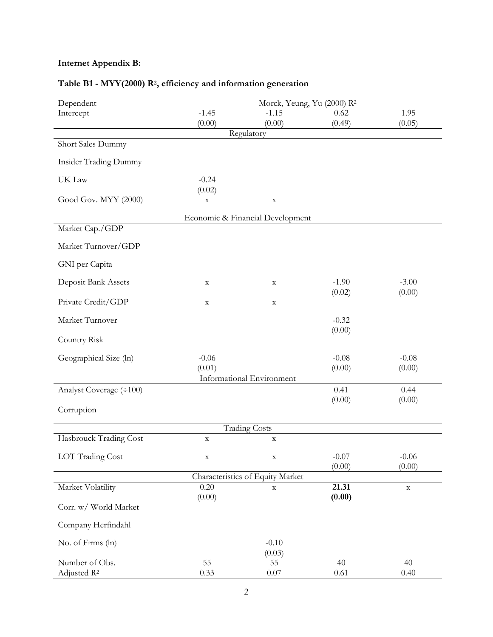## **Internet Appendix B:**

| Dependent                                 | Morck, Yeung, Yu (2000) R <sup>2</sup> |                                  |                 |             |  |  |  |  |  |
|-------------------------------------------|----------------------------------------|----------------------------------|-----------------|-------------|--|--|--|--|--|
| Intercept                                 | $-1.45$                                | $-1.15$                          | 0.62            |             |  |  |  |  |  |
|                                           | (0.00)                                 | (0.00)                           | (0.49)          | (0.05)      |  |  |  |  |  |
|                                           |                                        | Regulatory                       |                 |             |  |  |  |  |  |
| Short Sales Dummy                         |                                        |                                  |                 |             |  |  |  |  |  |
| <b>Insider Trading Dummy</b>              |                                        |                                  |                 |             |  |  |  |  |  |
| UK Law                                    | $-0.24$                                |                                  |                 |             |  |  |  |  |  |
| Good Gov. MYY (2000)                      | (0.02)<br>$\mathbf X$                  | $\mathbf X$                      |                 |             |  |  |  |  |  |
|                                           |                                        | Economic & Financial Development |                 |             |  |  |  |  |  |
| Market Cap./GDP                           |                                        |                                  |                 |             |  |  |  |  |  |
| Market Turnover/GDP                       |                                        |                                  |                 |             |  |  |  |  |  |
| GNI per Capita                            |                                        |                                  |                 |             |  |  |  |  |  |
| Deposit Bank Assets                       | $\mathbf X$                            | $\mathbf X$                      | $-1.90$         | $-3.00$     |  |  |  |  |  |
| Private Credit/GDP                        | $\mathbf X$                            | $\mathbf X$                      | (0.02)          | (0.00)      |  |  |  |  |  |
| Market Turnover                           |                                        |                                  | $-0.32$         |             |  |  |  |  |  |
| Country Risk                              |                                        |                                  | (0.00)          |             |  |  |  |  |  |
|                                           |                                        |                                  |                 |             |  |  |  |  |  |
| Geographical Size (ln)                    | $-0.06$                                |                                  | $-0.08$         | $-0.08$     |  |  |  |  |  |
|                                           | (0.01)                                 | Informational Environment        | (0.00)          | (0.00)      |  |  |  |  |  |
| Analyst Coverage (÷100)                   |                                        |                                  | 0.41            | 0.44        |  |  |  |  |  |
|                                           |                                        |                                  | (0.00)          | (0.00)      |  |  |  |  |  |
| Corruption                                |                                        |                                  |                 |             |  |  |  |  |  |
|                                           |                                        | <b>Trading Costs</b>             |                 |             |  |  |  |  |  |
| Hasbrouck Trading Cost                    | $\mathbf X$                            | $\mathbf X$                      |                 |             |  |  |  |  |  |
| <b>LOT Trading Cost</b>                   | $\mathbf X$                            | $\mathbf X$                      | $-0.07$         | $-0.06$     |  |  |  |  |  |
|                                           |                                        |                                  | (0.00)          | (0.00)      |  |  |  |  |  |
|                                           |                                        | Characteristics of Equity Market |                 |             |  |  |  |  |  |
| Market Volatility                         | 0.20<br>(0.00)                         | $\mathbf X$                      | 21.31<br>(0.00) | $\mathbf X$ |  |  |  |  |  |
| Corr. w/ World Market                     |                                        |                                  |                 |             |  |  |  |  |  |
| Company Herfindahl                        |                                        |                                  |                 |             |  |  |  |  |  |
| No. of Firms (ln)                         |                                        | $-0.10$                          |                 |             |  |  |  |  |  |
|                                           |                                        | (0.03)                           |                 |             |  |  |  |  |  |
| Number of Obs.<br>Adjusted R <sup>2</sup> | 55<br>0.33                             | 55<br>$0.07\,$                   | 40<br>0.61      | 40<br>0.40  |  |  |  |  |  |

# **Table B1 - MYY(2000) R2, efficiency and information generation**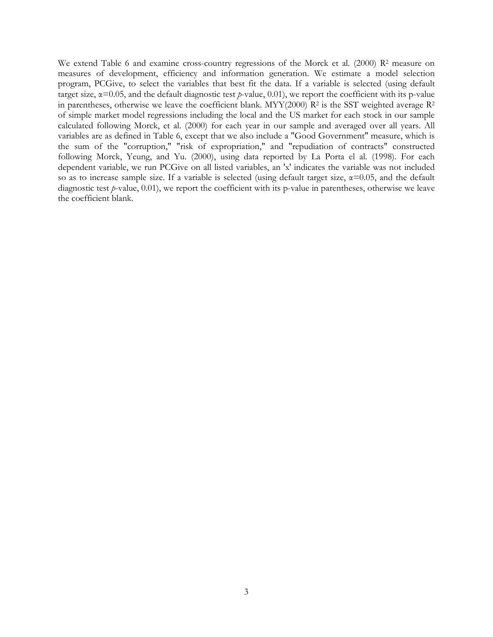We extend Table 6 and examine cross-country regressions of the Morck et al. (2000) R<sup>2</sup> measure on measures of development, efficiency and information generation. We estimate a model selection program, PCGive, to select the variables that best fit the data. If a variable is selected (using default target size,  $\alpha$ =0.05, and the default diagnostic test *p*-value, 0.01), we report the coefficient with its p-value in parentheses, otherwise we leave the coefficient blank. MYY(2000)  $R^2$  is the SST weighted average  $R^2$ of simple market model regressions including the local and the US market for each stock in our sample calculated following Morck, et al. (2000) for each year in our sample and averaged over all years. All variables are as defined in Table 6, except that we also include a "Good Government" measure, which is the sum of the "corruption," "risk of expropriation," and "repudiation of contracts" constructed following Morck, Yeung, and Yu. (2000), using data reported by La Porta el al. (1998). For each dependent variable, we run PCGive on all listed variables, an 'x' indicates the variable was not included so as to increase sample size. If a variable is selected (using default target size,  $\alpha$ =0.05, and the default diagnostic test *p*-value, 0.01), we report the coefficient with its p-value in parentheses, otherwise we leave the coefficient blank.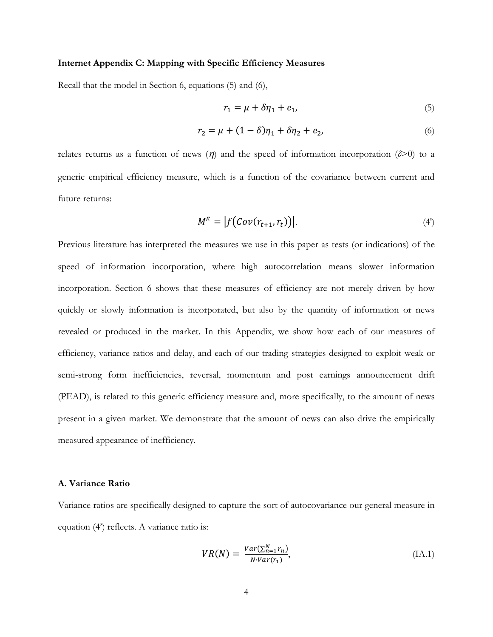#### **Internet Appendix C: Mapping with Specific Efficiency Measures**

Recall that the model in Section 6, equations (5) and (6),

$$
r_1 = \mu + \delta \eta_1 + e_1,\tag{5}
$$

$$
r_2 = \mu + (1 - \delta)\eta_1 + \delta\eta_2 + e_2,\tag{6}
$$

relates returns as a function of news  $(\eta)$  and the speed of information incorporation ( $\delta$ >0) to a generic empirical efficiency measure, which is a function of the covariance between current and future returns:

$$
M^{E} = |f\big(\text{Cov}(r_{t+1}, r_t)\big)|. \tag{4'}
$$

Previous literature has interpreted the measures we use in this paper as tests (or indications) of the speed of information incorporation, where high autocorrelation means slower information incorporation. Section 6 shows that these measures of efficiency are not merely driven by how quickly or slowly information is incorporated, but also by the quantity of information or news revealed or produced in the market. In this Appendix, we show how each of our measures of efficiency, variance ratios and delay, and each of our trading strategies designed to exploit weak or semi-strong form inefficiencies, reversal, momentum and post earnings announcement drift (PEAD), is related to this generic efficiency measure and, more specifically, to the amount of news present in a given market. We demonstrate that the amount of news can also drive the empirically measured appearance of inefficiency.

#### **A. Variance Ratio**

Variance ratios are specifically designed to capture the sort of autocovariance our general measure in equation (4') reflects. A variance ratio is:

$$
VR(N) = \frac{Var(\sum_{n=1}^{N} r_n)}{N \cdot Var(r_1)},
$$
\n
$$
(IA.1)
$$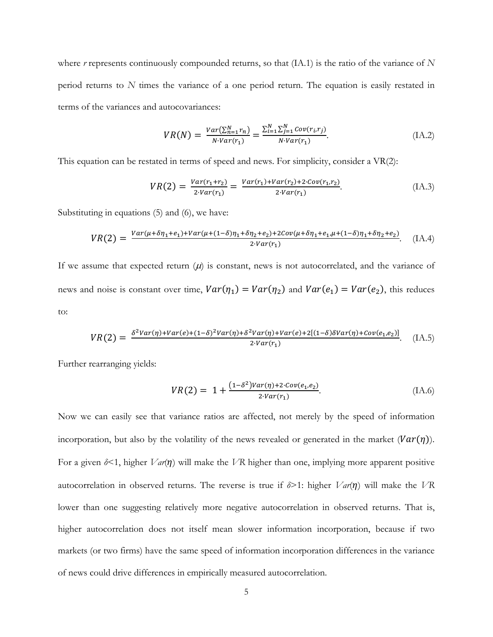where *r* represents continuously compounded returns, so that (IA.1) is the ratio of the variance of *N* period returns to *N* times the variance of a one period return. The equation is easily restated in terms of the variances and autocovariances:

$$
VR(N) = \frac{Var(\sum_{n=1}^{N} r_n)}{N \cdot Var(r_1)} = \frac{\sum_{i=1}^{N} \sum_{j=1}^{N} Cov(r_i, r_j)}{N \cdot Var(r_1)}.
$$
 (IA.2)

This equation can be restated in terms of speed and news. For simplicity, consider a VR(2):

$$
VR(2) = \frac{Var(r_1 + r_2)}{2 \cdot Var(r_1)} = \frac{Var(r_1) + Var(r_2) + 2 \cdot Cov(r_1, r_2)}{2 \cdot Var(r_1)}.
$$
 (IA.3)

Substituting in equations (5) and (6), we have:

$$
VR(2) = \frac{Var(\mu + \delta \eta_1 + e_1) + Var(\mu + (1 - \delta)\eta_1 + \delta \eta_2 + e_2) + 2Cov(\mu + \delta \eta_1 + e_1, \mu + (1 - \delta)\eta_1 + \delta \eta_2 + e_2)}{2Var(r_1)}.
$$
 (IA.4)

If we assume that expected return  $(\mu)$  is constant, news is not autocorrelated, and the variance of news and noise is constant over time,  $Var(\eta_1) = Var(\eta_2)$  and  $Var(e_1) = Var(e_2)$ , this reduces to:

$$
VR(2) = \frac{\delta^2 Var(\eta) + Var(e) + (1-\delta)^2 Var(\eta) + \delta^2 Var(\eta) + Var(e) + 2[(1-\delta)\delta Var(\eta) + Cov(e_1, e_2)]}{2Var(r_1)}.
$$
 (IA.5)

Further rearranging yields:

$$
VR(2) = 1 + \frac{(1 - \delta^2)Var(\eta) + 2 \cdot Cov(e_1, e_2)}{2 \cdot Var(r_1)}.
$$
 (IA.6)

Now we can easily see that variance ratios are affected, not merely by the speed of information incorporation, but also by the volatility of the news revealed or generated in the market  $(Var(\eta))$ . For a given  $\delta$ <1, higher *Var*( $\eta$ ) will make the *VR* higher than one, implying more apparent positive autocorrelation in observed returns. The reverse is true if  $\delta$ >1: higher *Var*( $\eta$ ) will make the *VR* lower than one suggesting relatively more negative autocorrelation in observed returns. That is, higher autocorrelation does not itself mean slower information incorporation, because if two markets (or two firms) have the same speed of information incorporation differences in the variance of news could drive differences in empirically measured autocorrelation.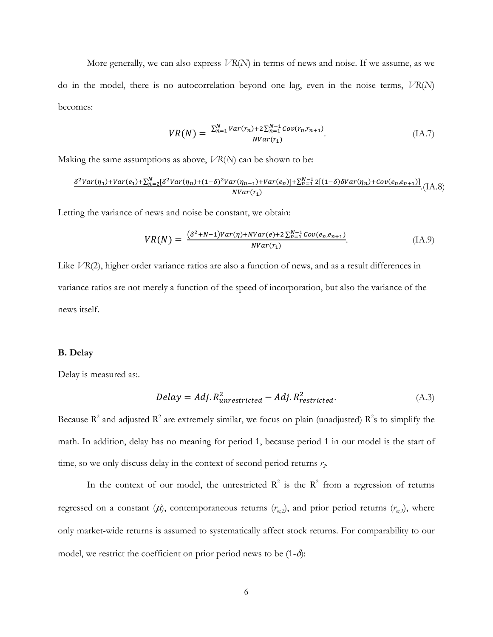More generally, we can also express *VR*(*N*) in terms of news and noise. If we assume, as we do in the model, there is no autocorrelation beyond one lag, even in the noise terms, *VR*(*N*) becomes:

$$
VR(N) = \frac{\sum_{n=1}^{N} Var(r_n) + 2\sum_{n=1}^{N-1} Cov(r_n, r_{n+1})}{NVar(r_1)}.
$$
 (IA.7)

Making the same assumptions as above, *VR*(*N*) can be shown to be:

$$
\frac{\delta^2 Var(\eta_1) + Var(e_1) + \sum_{n=2}^{N} [\delta^2 Var(\eta_n) + (1-\delta)^2 Var(\eta_{n-1}) + Var(e_n)] + \sum_{n=1}^{N-1} 2[(1-\delta)\delta Var(\eta_n) + Cov(e_n, e_{n+1})]}{NVar(r_1)} \cdot (IA.8)
$$

Letting the variance of news and noise be constant, we obtain:

$$
VR(N) = \frac{(\delta^2 + N - 1)Var(\eta) + NVar(e) + 2\sum_{n=1}^{N-1} Cov(e_n, e_{n+1})}{NVar(r_1)}.
$$
 (IA.9)

Like *VR(2)*, higher order variance ratios are also a function of news, and as a result differences in variance ratios are not merely a function of the speed of incorporation, but also the variance of the news itself.

#### **B. Delay**

Delay is measured as:.

$$
Delay = Adj. R_{unrestricted}^2 - Adj. R_{restricted}^2.
$$
\n(A.3)

Because  $R^2$  and adjusted  $R^2$  are extremely similar, we focus on plain (unadjusted)  $R^2$ s to simplify the math. In addition, delay has no meaning for period 1, because period 1 in our model is the start of time, so we only discuss delay in the context of second period returns  $r_2$ .

In the context of our model, the unrestricted  $\mathbb{R}^2$  is the  $\mathbb{R}^2$  from a regression of returns regressed on a constant  $(\mu)$ , contemporaneous returns  $(r_{m,2})$ , and prior period returns  $(r_{m,1})$ , where only market-wide returns is assumed to systematically affect stock returns. For comparability to our model, we restrict the coefficient on prior period news to be  $(1-\delta)$ :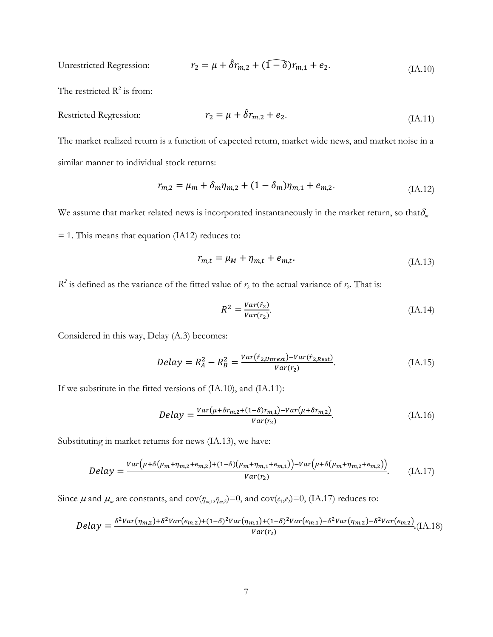Unrestricted Regression: 
$$
r_2 = \mu + \hat{\delta}r_{m,2} + (\widehat{1-\delta})r_{m,1} + e_2.
$$
 (IA.10)

The restricted  $R^2$  is from:

$$
R\text{estirected Regression:}\n \qquad \qquad r_2 = \mu + \hat{\delta}r_{m,2} + e_2. \tag{IA.11}
$$

The market realized return is a function of expected return, market wide news, and market noise in a similar manner to individual stock returns:

$$
r_{m,2} = \mu_m + \delta_m \eta_{m,2} + (1 - \delta_m) \eta_{m,1} + e_{m,2}.
$$
 (IA.12)

We assume that market related news is incorporated instantaneously in the market return, so that $\delta_m$ 

 $= 1$ . This means that equation (IA12) reduces to:

$$
r_{m,t} = \mu_M + \eta_{m,t} + e_{m,t}.\tag{IA.13}
$$

 $R^2$  is defined as the variance of the fitted value of  $r_2$  to the actual variance of  $r_2$ . That is:

$$
R^2 = \frac{Var(\hat{r}_2)}{Var(r_2)}.\tag{IA.14}
$$

Considered in this way, Delay (A.3) becomes:

$$
Delay = R_A^2 - R_B^2 = \frac{Var(\hat{r}_{2,Unrest}) - Var(\hat{r}_{2,Rest})}{Var(r_2)}.
$$
\n
$$
(IA.15)
$$

If we substitute in the fitted versions of (IA.10), and (IA.11):

$$
Delay = \frac{Var(\mu + \delta r_{m,2} + (1 - \delta)r_{m,1}) - Var(\mu + \delta r_{m,2})}{Var(r_2)}.
$$
\n(IA.16)

Substituting in market returns for news (IA.13), we have:

$$
Delay = \frac{Var(\mu + \delta(\mu_m + \eta_{m,2} + e_{m,2}) + (1 - \delta)(\mu_m + \eta_{m,1} + e_{m,1})) - Var(\mu + \delta(\mu_m + \eta_{m,2} + e_{m,2}))}{Var(r_2)}.
$$
 (IA.17)

Since  $\mu$  and  $\mu_m$  are constants, and cov( $\eta_{m,1}, \eta_{m,2}$ )=0, and cov( $e_1, e_2$ )=0, (IA.17) reduces to:

$$
Delay = \frac{\delta^2 Var(\eta_{m,2}) + \delta^2 Var(e_{m,2}) + (1-\delta)^2 Var(\eta_{m,1}) + (1-\delta)^2 Var(e_{m,1}) - \delta^2 Var(\eta_{m,2}) - \delta^2 Var(e_{m,2})}{Var(r_2)}.
$$
(IA.18)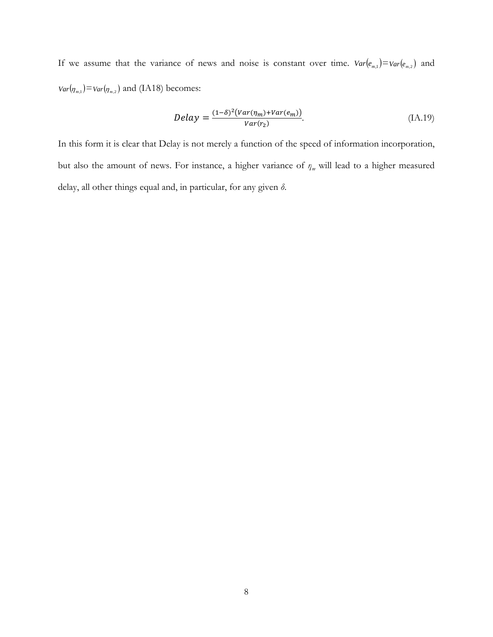If we assume that the variance of news and noise is constant over time.  $Var(e_{m,1}) = Var(e_{m,2})$  and  $Var(\eta_{m,1}) = Var(\eta_{m,2})$  and (IA18) becomes:

$$
Delay = \frac{(1-\delta)^2 (Var(\eta_m) + Var(e_m))}{Var(r_2)}.
$$
\n(IA.19)

In this form it is clear that Delay is not merely a function of the speed of information incorporation, but also the amount of news. For instance, a higher variance of *ηm* will lead to a higher measured delay, all other things equal and, in particular, for any given *δ*.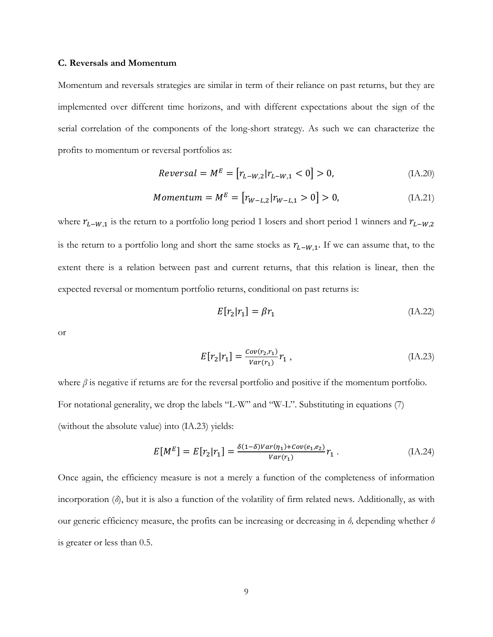#### **C. Reversals and Momentum**

Momentum and reversals strategies are similar in term of their reliance on past returns, but they are implemented over different time horizons, and with different expectations about the sign of the serial correlation of the components of the long-short strategy. As such we can characterize the profits to momentum or reversal portfolios as:

$$
Reversal = M^E = [r_{L-W,2}|r_{L-W,1} < 0] > 0,\tag{IA.20}
$$

*Momentum* = 
$$
M^E
$$
 =  $[r_{W-L,2}|r_{W-L,1} > 0] > 0,$  (IA.21)

where  $r_{L-W,1}$  is the return to a portfolio long period 1 losers and short period 1 winners and  $r_{L-W,2}$ is the return to a portfolio long and short the same stocks as  $r_{L-W,1}$ . If we can assume that, to the extent there is a relation between past and current returns, that this relation is linear, then the expected reversal or momentum portfolio returns, conditional on past returns is:

$$
E[r_2|r_1] = \beta r_1 \tag{IA.22}
$$

or

$$
E[r_2|r_1] = \frac{Cov(r_2,r_1)}{Var(r_1)}r_1 ,
$$
 (IA.23)

where  $\beta$  is negative if returns are for the reversal portfolio and positive if the momentum portfolio. For notational generality, we drop the labels "L-W" and "W-L". Substituting in equations (7) (without the absolute value) into (IA.23) yields:

$$
E[M^{E}] = E[r_{2}|r_{1}] = \frac{\delta(1-\delta)Var(\eta_{1}) + Cov(e_{1}, e_{2})}{Var(r_{1})}r_{1}.
$$
 (IA.24)

Once again, the efficiency measure is not a merely a function of the completeness of information incorporation (*δ*), but it is also a function of the volatility of firm related news. Additionally, as with our generic efficiency measure, the profits can be increasing or decreasing in *δ,* depending whether *δ* is greater or less than 0.5.